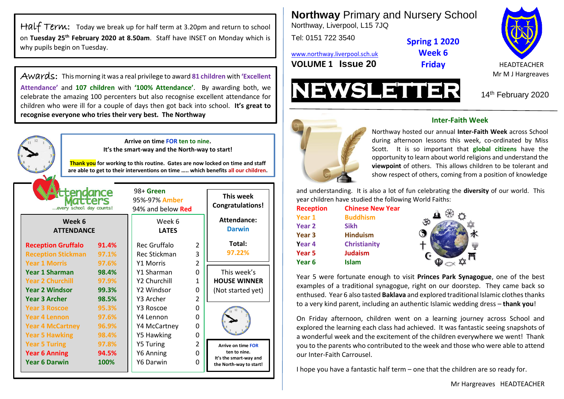Half Term: Today we break up for half term at 3.20pm and return to school on **Tuesday 25th February 2020 at 8.50am**. Staff have INSET on Monday which is why pupils begin on Tuesday.

Awards: This morning it was a real privilege to award **81 children** with **'Excellent Attendance'** and **107 children** with **'100% Attendance'**. By awarding both, we celebrate the amazing 100 percenters but also recognise excellent attendance for children who were ill for a couple of days then got back into school. **It's great to recognise everyone who tries their very best. The Northway**



**Northway** Primary and Nursery School Northway, Liverpool, L15 7JQ

Tel: 0151 722 3540

[www.northway.liverpool.sch.uk](http://www.northway.liverpool.sch.uk/) **VOLUME 1 ISSUE 20 Friday HEADTEACHER** 



Mr M J Hargreaves

14th February 2020



## **Inter-Faith Week**

**Spring 1 2020 Week 6 Friday**

show respect of others, coming from a position of knowledge Northway hosted our annual **Inter-Faith Week** across School during afternoon lessons this week, co-ordinated by Miss Scott. It is so important that **global citizens** have the opportunity to learn about world religions and understand the **viewpoint** of others. This allows children to be tolerant and

and understanding. It is also a lot of fun celebrating the **diversity** of our world. This year children have studied the following World Faiths:

| <b>Reception</b>  | <b>Chinese New Year</b> |   |
|-------------------|-------------------------|---|
| Year 1            | <b>Buddhism</b>         |   |
| Year 2            | <b>Sikh</b>             | K |
| Year <sub>3</sub> | <b>Hinduism</b>         |   |
| Year 4            | <b>Christianity</b>     |   |
| Year 5            | <b>Judaism</b>          |   |
| Year 6            | <b>Islam</b>            |   |
|                   |                         |   |

Year 5 were fortunate enough to visit **Princes Park Synagogue**, one of the best examples of a traditional synagogue, right on our doorstep. They came back so enthused. Year 6 also tasted **Baklava** and explored traditional Islamic clothes thanks to a very kind parent, including an authentic Islamic wedding dress – **thank you**!

On Friday afternoon, children went on a learning journey across School and explored the learning each class had achieved. It was fantastic seeing snapshots of a wonderful week and the excitement of the children everywhere we went! Thank you to the parents who contributed to the week and those who were able to attend our Inter-Faith Carrousel.

I hope you have a fantastic half term – one that the children are so ready for.